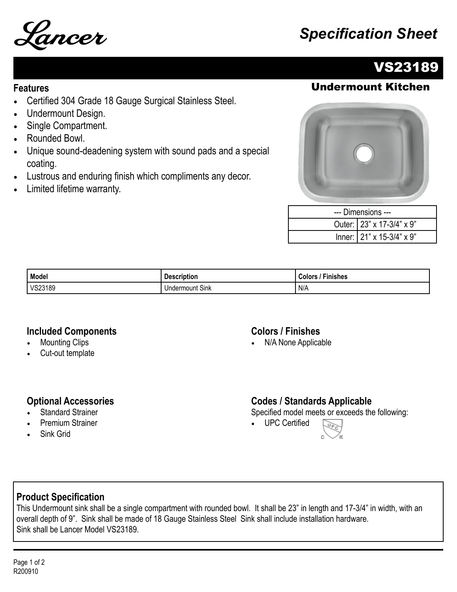

# Lancer *Specification Sheet*

### VS23189

#### Undermount Kitchen

#### **Features**

- Certified 304 Grade 18 Gauge Surgical Stainless Steel.
- Undermount Design.
- Single Compartment.
- Rounded Bowl.
- Unique sound-deadening system with sound pads and a special coating.
- Lustrous and enduring finish which compliments any decor.
- Limited lifetime warranty.



| --- Dimensions --- |                           |  |
|--------------------|---------------------------|--|
|                    | Outer: 23" x 17-3/4" x 9" |  |
|                    | Inner: 21" x 15-3/4" x 9" |  |

| Model   | <b>Description</b>        | Finishes<br>'olorن |
|---------|---------------------------|--------------------|
| VS23189 | $\sim$<br>Undermount Sink | N/A                |

#### **Included Components**

- **Mounting Clips**
- Cut-out template

#### **Colors / Finishes**

• N/A None Applicable

#### **Optional Accessories**

- **Standard Strainer**
- Premium Strainer
- Sink Grid

#### **Codes / Standards Applicable**

Specified model meets or exceeds the following:

• UPC Certified



#### **Product Specification**

This Undermount sink shall be a single compartment with rounded bowl. It shall be 23" in length and 17-3/4" in width, with an overall depth of 9". Sink shall be made of 18 Gauge Stainless Steel Sink shall include installation hardware. Sink shall be Lancer Model VS23189.